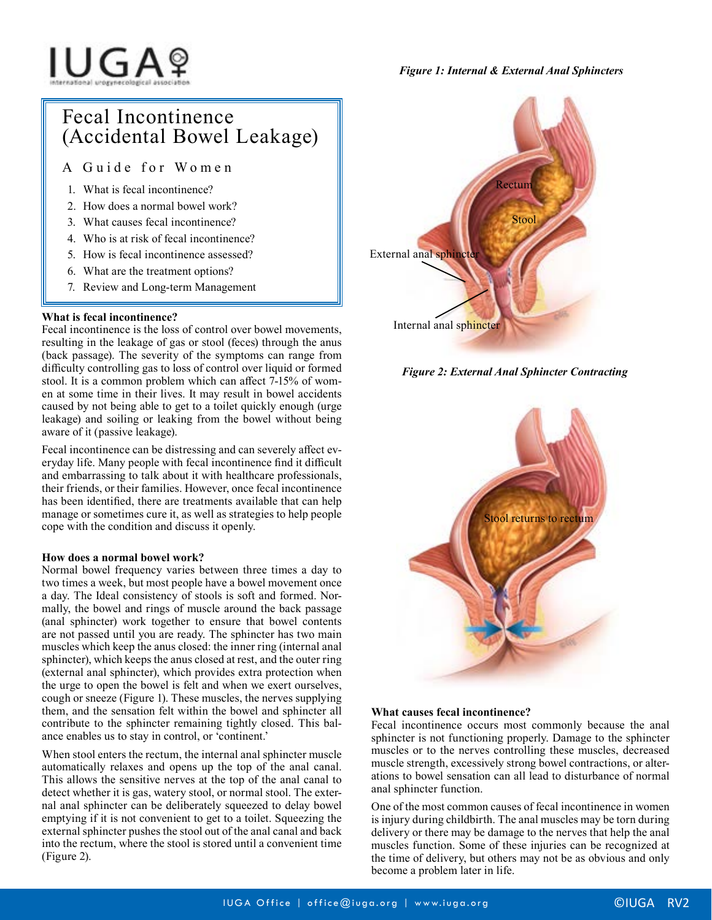# IUGAº

# *Figure 1: Internal & External Anal Sphincters*

# Fecal Incontinence (Accidental Bowel Leakage)

A Guide for Women

- 1. What is fecal incontinence?
- 2. How does a normal bowel work?
- 3. What causes fecal incontinence?
- 4. Who is at risk of fecal incontinence?
- 5. How is fecal incontinence assessed?
- 6. What are the treatment options?
- 7. Review and Long-term Management

# **What is fecal incontinence?**

Fecal incontinence is the loss of control over bowel movements, resulting in the leakage of gas or stool (feces) through the anus (back passage). The severity of the symptoms can range from difficulty controlling gas to loss of control over liquid or formed stool. It is a common problem which can affect 7-15% of women at some time in their lives. It may result in bowel accidents caused by not being able to get to a toilet quickly enough (urge leakage) and soiling or leaking from the bowel without being aware of it (passive leakage).

Fecal incontinence can be distressing and can severely affect everyday life. Many people with fecal incontinence find it difficult and embarrassing to talk about it with healthcare professionals, their friends, or their families. However, once fecal incontinence has been identified, there are treatments available that can help manage or sometimes cure it, as well as strategies to help people cope with the condition and discuss it openly.

# **How does a normal bowel work?**

Normal bowel frequency varies between three times a day to two times a week, but most people have a bowel movement once a day. The Ideal consistency of stools is soft and formed. Normally, the bowel and rings of muscle around the back passage (anal sphincter) work together to ensure that bowel contents are not passed until you are ready. The sphincter has two main muscles which keep the anus closed: the inner ring (internal anal sphincter), which keeps the anus closed at rest, and the outer ring (external anal sphincter), which provides extra protection when the urge to open the bowel is felt and when we exert ourselves, cough or sneeze (Figure 1). These muscles, the nerves supplying them, and the sensation felt within the bowel and sphincter all contribute to the sphincter remaining tightly closed. This balance enables us to stay in control, or 'continent.'

When stool enters the rectum, the internal anal sphincter muscle automatically relaxes and opens up the top of the anal canal. This allows the sensitive nerves at the top of the anal canal to detect whether it is gas, watery stool, or normal stool. The external anal sphincter can be deliberately squeezed to delay bowel emptying if it is not convenient to get to a toilet. Squeezing the external sphincter pushes the stool out of the anal canal and back into the rectum, where the stool is stored until a convenient time (Figure 2).



*Figure 2: External Anal Sphincter Contracting*



# **What causes fecal incontinence?**

Fecal incontinence occurs most commonly because the anal sphincter is not functioning properly. Damage to the sphincter muscles or to the nerves controlling these muscles, decreased muscle strength, excessively strong bowel contractions, or alterations to bowel sensation can all lead to disturbance of normal anal sphincter function.

One of the most common causes of fecal incontinence in women is injury during childbirth. The anal muscles may be torn during delivery or there may be damage to the nerves that help the anal muscles function. Some of these injuries can be recognized at the time of delivery, but others may not be as obvious and only become a problem later in life.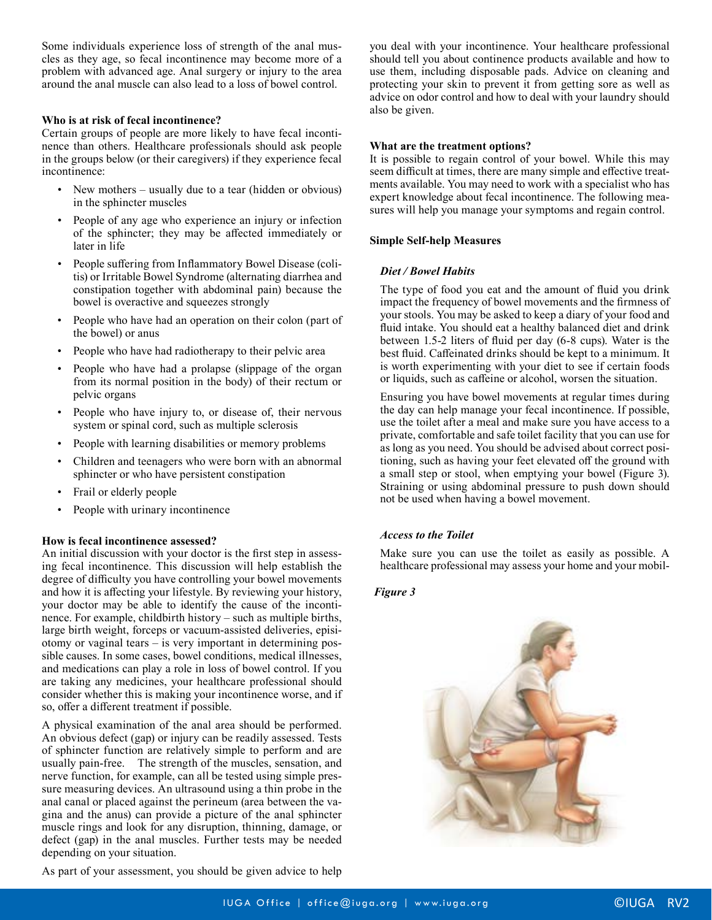Some individuals experience loss of strength of the anal muscles as they age, so fecal incontinence may become more of a problem with advanced age. Anal surgery or injury to the area around the anal muscle can also lead to a loss of bowel control.

# **Who is at risk of fecal incontinence?**

Certain groups of people are more likely to have fecal incontinence than others. Healthcare professionals should ask people in the groups below (or their caregivers) if they experience fecal incontinence:

- New mothers usually due to a tear (hidden or obvious) in the sphincter muscles
- People of any age who experience an injury or infection of the sphincter; they may be affected immediately or later in life
- People suffering from Inflammatory Bowel Disease (colitis) or Irritable Bowel Syndrome (alternating diarrhea and constipation together with abdominal pain) because the bowel is overactive and squeezes strongly
- People who have had an operation on their colon (part of the bowel) or anus
- People who have had radiotherapy to their pelvic area
- People who have had a prolapse (slippage of the organ from its normal position in the body) of their rectum or pelvic organs
- People who have injury to, or disease of, their nervous system or spinal cord, such as multiple sclerosis
- People with learning disabilities or memory problems
- Children and teenagers who were born with an abnormal sphincter or who have persistent constipation
- Frail or elderly people
- People with urinary incontinence

# **How is fecal incontinence assessed?**

An initial discussion with your doctor is the first step in assessing fecal incontinence. This discussion will help establish the degree of difficulty you have controlling your bowel movements and how it is affecting your lifestyle. By reviewing your history, your doctor may be able to identify the cause of the incontinence. For example, childbirth history – such as multiple births, large birth weight, forceps or vacuum-assisted deliveries, episiotomy or vaginal tears – is very important in determining possible causes. In some cases, bowel conditions, medical illnesses, and medications can play a role in loss of bowel control. If you are taking any medicines, your healthcare professional should consider whether this is making your incontinence worse, and if so, offer a different treatment if possible.

A physical examination of the anal area should be performed. An obvious defect (gap) or injury can be readily assessed. Tests of sphincter function are relatively simple to perform and are usually pain-free. The strength of the muscles, sensation, and nerve function, for example, can all be tested using simple pressure measuring devices. An ultrasound using a thin probe in the anal canal or placed against the perineum (area between the vagina and the anus) can provide a picture of the anal sphincter muscle rings and look for any disruption, thinning, damage, or defect (gap) in the anal muscles. Further tests may be needed depending on your situation.

As part of your assessment, you should be given advice to help

you deal with your incontinence. Your healthcare professional should tell you about continence products available and how to use them, including disposable pads. Advice on cleaning and protecting your skin to prevent it from getting sore as well as advice on odor control and how to deal with your laundry should also be given.

#### **What are the treatment options?**

It is possible to regain control of your bowel. While this may seem difficult at times, there are many simple and effective treatments available. You may need to work with a specialist who has expert knowledge about fecal incontinence. The following measures will help you manage your symptoms and regain control.

#### **Simple Self-help Measures**

#### *Diet / Bowel Habits*

The type of food you eat and the amount of fluid you drink impact the frequency of bowel movements and the firmness of your stools. You may be asked to keep a diary of your food and fluid intake. You should eat a healthy balanced diet and drink between 1.5-2 liters of fluid per day (6-8 cups). Water is the best fluid. Caffeinated drinks should be kept to a minimum. It is worth experimenting with your diet to see if certain foods or liquids, such as caffeine or alcohol, worsen the situation.

Ensuring you have bowel movements at regular times during the day can help manage your fecal incontinence. If possible, use the toilet after a meal and make sure you have access to a private, comfortable and safe toilet facility that you can use for as long as you need. You should be advised about correct positioning, such as having your feet elevated off the ground with a small step or stool, when emptying your bowel (Figure 3). Straining or using abdominal pressure to push down should not be used when having a bowel movement.

# *Access to the Toilet*

Make sure you can use the toilet as easily as possible. A healthcare professional may assess your home and your mobil-

# *Figure 3*

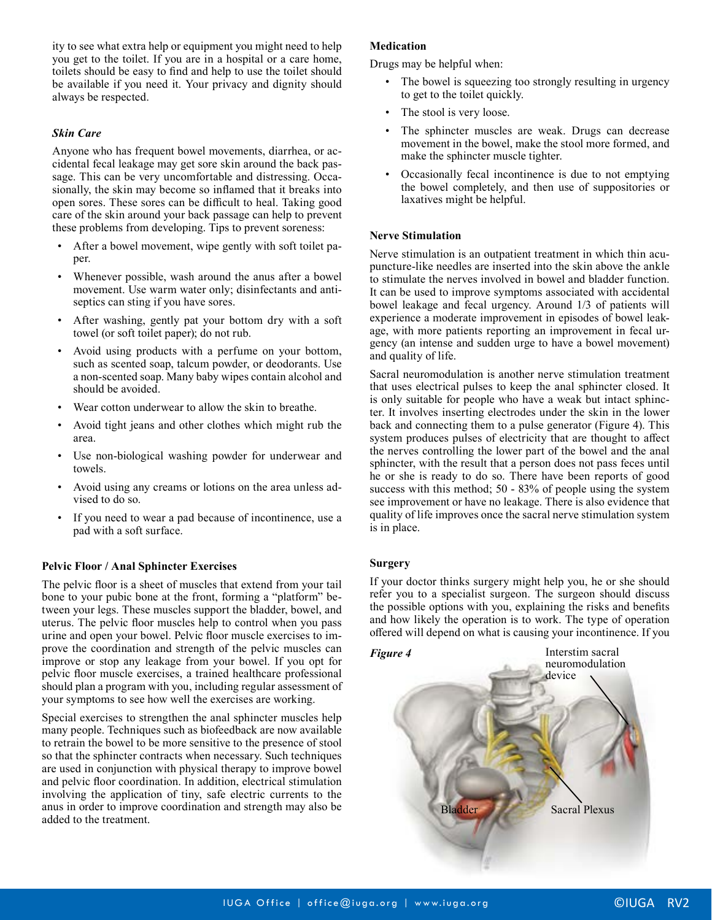ity to see what extra help or equipment you might need to help you get to the toilet. If you are in a hospital or a care home, toilets should be easy to find and help to use the toilet should be available if you need it. Your privacy and dignity should always be respected.

# *Skin Care*

Anyone who has frequent bowel movements, diarrhea, or accidental fecal leakage may get sore skin around the back passage. This can be very uncomfortable and distressing. Occasionally, the skin may become so inflamed that it breaks into open sores. These sores can be difficult to heal. Taking good care of the skin around your back passage can help to prevent these problems from developing. Tips to prevent soreness:

- After a bowel movement, wipe gently with soft toilet paper.
- Whenever possible, wash around the anus after a bowel movement. Use warm water only; disinfectants and antiseptics can sting if you have sores.
- After washing, gently pat your bottom dry with a soft towel (or soft toilet paper); do not rub.
- Avoid using products with a perfume on your bottom, such as scented soap, talcum powder, or deodorants. Use a non-scented soap. Many baby wipes contain alcohol and should be avoided.
- Wear cotton underwear to allow the skin to breathe.
- Avoid tight jeans and other clothes which might rub the area.
- Use non-biological washing powder for underwear and towels.
- Avoid using any creams or lotions on the area unless advised to do so.
- If you need to wear a pad because of incontinence, use a pad with a soft surface.

# **Pelvic Floor / Anal Sphincter Exercises**

The pelvic floor is a sheet of muscles that extend from your tail bone to your pubic bone at the front, forming a "platform" between your legs. These muscles support the bladder, bowel, and uterus. The pelvic floor muscles help to control when you pass urine and open your bowel. Pelvic floor muscle exercises to improve the coordination and strength of the pelvic muscles can improve or stop any leakage from your bowel. If you opt for pelvic floor muscle exercises, a trained healthcare professional should plan a program with you, including regular assessment of your symptoms to see how well the exercises are working.

Special exercises to strengthen the anal sphincter muscles help many people. Techniques such as biofeedback are now available to retrain the bowel to be more sensitive to the presence of stool so that the sphincter contracts when necessary. Such techniques are used in conjunction with physical therapy to improve bowel and pelvic floor coordination. In addition, electrical stimulation involving the application of tiny, safe electric currents to the anus in order to improve coordination and strength may also be added to the treatment.

# **Medication**

Drugs may be helpful when:

- The bowel is squeezing too strongly resulting in urgency to get to the toilet quickly.
- The stool is very loose.
- The sphincter muscles are weak. Drugs can decrease movement in the bowel, make the stool more formed, and make the sphincter muscle tighter.
- Occasionally fecal incontinence is due to not emptying the bowel completely, and then use of suppositories or laxatives might be helpful.

#### **Nerve Stimulation**

Nerve stimulation is an outpatient treatment in which thin acupuncture-like needles are inserted into the skin above the ankle to stimulate the nerves involved in bowel and bladder function. It can be used to improve symptoms associated with accidental bowel leakage and fecal urgency. Around 1/3 of patients will experience a moderate improvement in episodes of bowel leakage, with more patients reporting an improvement in fecal urgency (an intense and sudden urge to have a bowel movement) and quality of life.

Sacral neuromodulation is another nerve stimulation treatment that uses electrical pulses to keep the anal sphincter closed. It is only suitable for people who have a weak but intact sphincter. It involves inserting electrodes under the skin in the lower back and connecting them to a pulse generator (Figure 4). This system produces pulses of electricity that are thought to affect the nerves controlling the lower part of the bowel and the anal sphincter, with the result that a person does not pass feces until he or she is ready to do so. There have been reports of good success with this method; 50 - 83% of people using the system see improvement or have no leakage. There is also evidence that quality of life improves once the sacral nerve stimulation system is in place.

# **Surgery**

If your doctor thinks surgery might help you, he or she should refer you to a specialist surgeon. The surgeon should discuss the possible options with you, explaining the risks and benefits and how likely the operation is to work. The type of operation offered will depend on what is causing your incontinence. If you